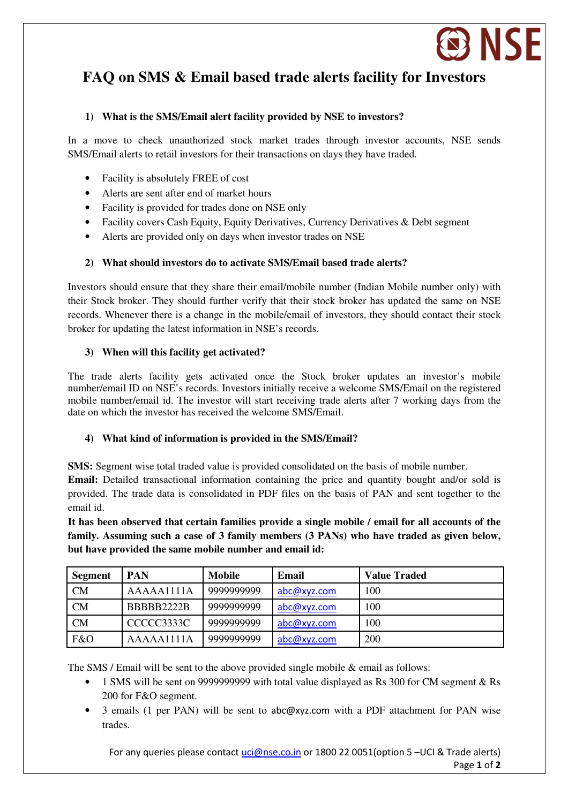

# **FAQ on SMS & Email based trade alerts facility for Investors**

# **1) What is the SMS/Email alert facility provided by NSE to investors?**

In a move to check unauthorized stock market trades through investor accounts, NSE sends SMS/Email alerts to retail investors for their transactions on days they have traded.

- Facility is absolutely FREE of cost
- Alerts are sent after end of market hours
- Facility is provided for trades done on NSE only
- Facility covers Cash Equity, Equity Derivatives, Currency Derivatives & Debt segment
- Alerts are provided only on days when investor trades on NSE

## **2) What should investors do to activate SMS/Email based trade alerts?**

Investors should ensure that they share their email/mobile number (Indian Mobile number only) with their Stock broker. They should further verify that their stock broker has updated the same on NSE records. Whenever there is a change in the mobile/email of investors, they should contact their stock broker for updating the latest information in NSE's records.

# **3) When will this facility get activated?**

The trade alerts facility gets activated once the Stock broker updates an investor's mobile number/email ID on NSE's records. Investors initially receive a welcome SMS/Email on the registered mobile number/email id. The investor will start receiving trade alerts after 7 working days from the date on which the investor has received the welcome SMS/Email.

## **4) What kind of information is provided in the SMS/Email?**

**SMS:** Segment wise total traded value is provided consolidated on the basis of mobile number.

**Email:** Detailed transactional information containing the price and quantity bought and/or sold is provided. The trade data is consolidated in PDF files on the basis of PAN and sent together to the email id.

**It has been observed that certain families provide a single mobile / email for all accounts of the family. Assuming such a case of 3 family members (3 PANs) who have traded as given below, but have provided the same mobile number and email id:** 

| <b>Segment</b> | <b>PAN</b> | Mobile     | Email       | <b>Value Traded</b> |
|----------------|------------|------------|-------------|---------------------|
| CM             | AAAAA1111A | 9999999999 | abc@xyz.com | 100                 |
| CM             | BBBBB2222B | 9999999999 | abc@xyz.com | 100                 |
| CM             | CCCCC3333C | 9999999999 | abc@xyz.com | 100                 |
| F&O            | AAAA1111A  | 9999999999 | abc@xyz.com | <b>200</b>          |

The SMS / Email will be sent to the above provided single mobile & email as follows:

- 1 SMS will be sent on 9999999999 with total value displayed as Rs 300 for CM segment & Rs 200 for F&O segment.
- 3 emails (1 per PAN) will be sent to abc@xyz.com with a PDF attachment for PAN wise trades.